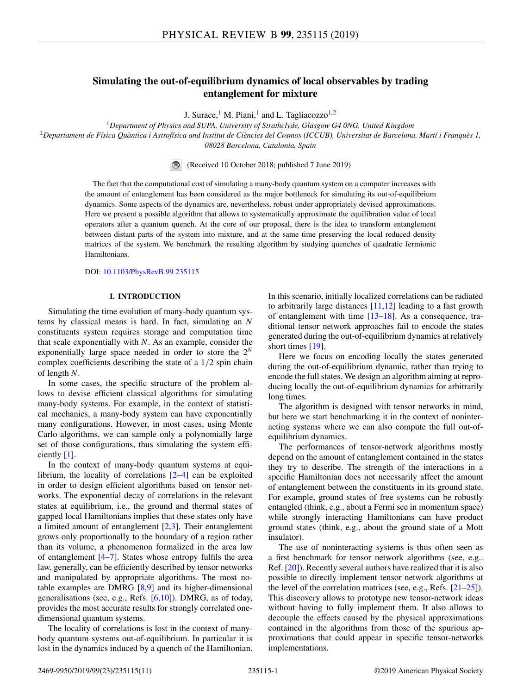# **Simulating the out-of-equilibrium dynamics of local observables by trading entanglement for mixture**

J. Surace,<sup>1</sup> M. Piani,<sup>1</sup> and L. Tagliacozzo<sup>1,2</sup>

<sup>1</sup>*Department of Physics and SUPA, University of Strathclyde, Glasgow G4 0NG, United Kingdom*

<sup>2</sup>*Departament de Física Quàntica i Astrofísica and Institut de Ciències del Cosmos (ICCUB), Universitat de Barcelona, Martí i Franquès 1, 08028 Barcelona, Catalonia, Spain*

(Received 10 October 2018; published 7 June 2019)

The fact that the computational cost of simulating a many-body quantum system on a computer increases with the amount of entanglement has been considered as the major bottleneck for simulating its out-of-equilibrium dynamics. Some aspects of the dynamics are, nevertheless, robust under appropriately devised approximations. Here we present a possible algorithm that allows to systematically approximate the equilibration value of local operators after a quantum quench. At the core of our proposal, there is the idea to transform entanglement between distant parts of the system into mixture, and at the same time preserving the local reduced density matrices of the system. We benchmark the resulting algorithm by studying quenches of quadratic fermionic **Hamiltonians** 

DOI: [10.1103/PhysRevB.99.235115](https://doi.org/10.1103/PhysRevB.99.235115)

### **I. INTRODUCTION**

Simulating the time evolution of many-body quantum systems by classical means is hard. In fact, simulating an *N* constituents system requires storage and computation time that scale exponentially with *N*. As an example, consider the exponentially large space needed in order to store the 2*<sup>N</sup>* complex coefficients describing the state of a 1/2 spin chain of length *N*.

In some cases, the specific structure of the problem allows to devise efficient classical algorithms for simulating many-body systems. For example, in the context of statistical mechanics, a many-body system can have exponentially many configurations. However, in most cases, using Monte Carlo algorithms, we can sample only a polynomially large set of those configurations, thus simulating the system efficiently [\[1\]](#page-9-0).

In the context of many-body quantum systems at equilibrium, the locality of correlations [\[2–4\]](#page-9-0) can be exploited in order to design efficient algorithms based on tensor networks. The exponential decay of correlations in the relevant states at equilibrium, i.e., the ground and thermal states of gapped local Hamiltonians implies that these states only have a limited amount of entanglement [\[2,3\]](#page-9-0). Their entanglement grows only proportionally to the boundary of a region rather than its volume, a phenomenon formalized in the area law of entanglement [\[4–7\]](#page-9-0). States whose entropy fulfils the area law, generally, can be efficiently described by tensor networks and manipulated by appropriate algorithms. The most notable examples are DMRG  $[8,9]$  and its higher-dimensional generalisations (see, e.g., Refs. [\[6,10\]](#page-9-0)). DMRG, as of today, provides the most accurate results for strongly correlated onedimensional quantum systems.

The locality of correlations is lost in the context of manybody quantum systems out-of-equilibrium. In particular it is lost in the dynamics induced by a quench of the Hamiltonian. In this scenario, initially localized correlations can be radiated to arbitrarily large distances  $[11,12]$  leading to a fast growth of entanglement with time  $[13-18]$ . As a consequence, traditional tensor network approaches fail to encode the states generated during the out-of-equilibrium dynamics at relatively short times [\[19\]](#page-9-0).

Here we focus on encoding locally the states generated during the out-of-equilibrium dynamic, rather than trying to encode the full states. We design an algorithm aiming at reproducing locally the out-of-equilibrium dynamics for arbitrarily long times.

The algorithm is designed with tensor networks in mind, but here we start benchmarking it in the context of noninteracting systems where we can also compute the full out-ofequilibrium dynamics.

The performances of tensor-network algorithms mostly depend on the amount of entanglement contained in the states they try to describe. The strength of the interactions in a specific Hamiltonian does not necessarily affect the amount of entanglement between the constituents in its ground state. For example, ground states of free systems can be robustly entangled (think, e.g., about a Fermi see in momentum space) while strongly interacting Hamiltonians can have product ground states (think, e.g., about the ground state of a Mott insulator).

The use of noninteracting systems is thus often seen as a first benchmark for tensor network algorithms (see, e.g.. Ref. [\[20\]](#page-10-0)). Recently several authors have realized that it is also possible to directly implement tensor network algorithms at the level of the correlation matrices (see, e.g., Refs.  $[21-25]$ ). This discovery allows to prototype new tensor-network ideas without having to fully implement them. It also allows to decouple the effects caused by the physical approximations contained in the algorithms from those of the spurious approximations that could appear in specific tensor-networks implementations.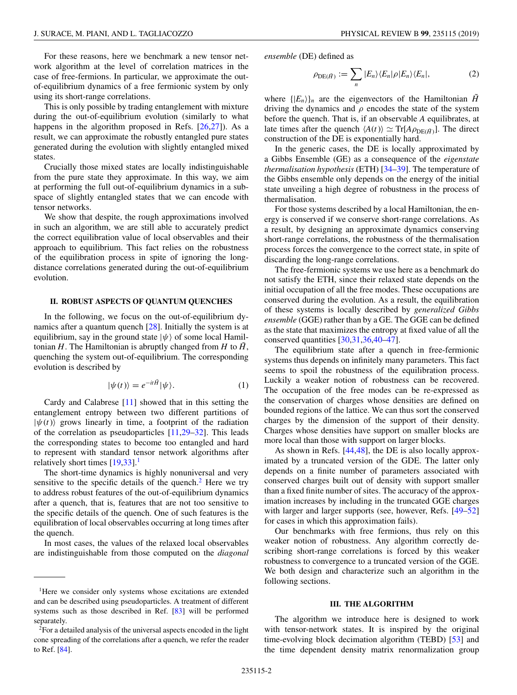For these reasons, here we benchmark a new tensor network algorithm at the level of correlation matrices in the case of free-fermions. In particular, we approximate the outof-equilibrium dynamics of a free fermionic system by only using its short-range correlations.

This is only possible by trading entanglement with mixture during the out-of-equilibrium evolution (similarly to what happens in the algorithm proposed in Refs. [\[26,27\]](#page-10-0)). As a result, we can approximate the robustly entangled pure states generated during the evolution with slightly entangled mixed states.

Crucially those mixed states are locally indistinguishable from the pure state they approximate. In this way, we aim at performing the full out-of-equilibrium dynamics in a subspace of slightly entangled states that we can encode with tensor networks.

We show that despite, the rough approximations involved in such an algorithm, we are still able to accurately predict the correct equilibration value of local observables and their approach to equilibrium. This fact relies on the robustness of the equilibration process in spite of ignoring the longdistance correlations generated during the out-of-equilibrium evolution.

#### **II. ROBUST ASPECTS OF QUANTUM QUENCHES**

In the following, we focus on the out-of-equilibrium dynamics after a quantum quench [\[28\]](#page-10-0). Initially the system is at equilibrium, say in the ground state  $|\psi\rangle$  of some local Hamiltonian *H*. The Hamiltonian is abruptly changed from *H* to  $\tilde{H}$ , quenching the system out-of-equilibrium. The corresponding evolution is described by

$$
|\psi(t)\rangle = e^{-it\tilde{H}}|\psi\rangle.
$$
 (1)

Cardy and Calabrese [\[11\]](#page-9-0) showed that in this setting the entanglement entropy between two different partitions of  $|\psi(t)\rangle$  grows linearly in time, a footprint of the radiation of the correlation as pseudoparticles [\[11,](#page-9-0)[29–32\]](#page-10-0). This leads the corresponding states to become too entangled and hard to represent with standard tensor network algorithms after relatively short times  $[19,33]$  $[19,33]$ .<sup>1</sup>

The short-time dynamics is highly nonuniversal and very sensitive to the specific details of the quench. $<sup>2</sup>$  Here we try</sup> to address robust features of the out-of-equilibrium dynamics after a quench, that is, features that are not too sensitive to the specific details of the quench. One of such features is the equilibration of local observables occurring at long times after the quench.

In most cases, the values of the relaxed local observables are indistinguishable from those computed on the *diagonal* *ensemble* (DE) defined as

$$
\rho_{\text{DE}(\tilde{H})} := \sum_{n} |E_n\rangle \langle E_n | \rho | E_n \rangle \langle E_n |,\tag{2}
$$

where  $\{|E_n\rangle\}_n$  are the eigenvectors of the Hamiltonian  $\tilde{H}$ driving the dynamics and  $\rho$  encodes the state of the system before the quench. That is, if an observable *A* equilibrates, at late times after the quench  $\langle A(t) \rangle \simeq \text{Tr}[A\rho_{DE(\tilde{H})}]$ . The direct construction of the DE is exponentially hard.

In the generic cases, the DE is locally approximated by a Gibbs Ensemble (GE) as a consequence of the *eigenstate thermalisation hypothesis* (ETH) [\[34–39\]](#page-10-0). The temperature of the Gibbs ensemble only depends on the energy of the initial state unveiling a high degree of robustness in the process of thermalisation.

For those systems described by a local Hamiltonian, the energy is conserved if we conserve short-range correlations. As a result, by designing an approximate dynamics conserving short-range correlations, the robustness of the thermalisation process forces the convergence to the correct state, in spite of discarding the long-range correlations.

The free-fermionic systems we use here as a benchmark do not satisfy the ETH, since their relaxed state depends on the initial occupation of all the free modes. These occupations are conserved during the evolution. As a result, the equilibration of these systems is locally described by *generalized Gibbs ensemble* (GGE) rather than by a GE. The GGE can be defined as the state that maximizes the entropy at fixed value of all the conserved quantities [\[30,31,36,40–47\]](#page-10-0).

The equilibrium state after a quench in free-fermionic systems thus depends on infinitely many parameters. This fact seems to spoil the robustness of the equilibration process. Luckily a weaker notion of robustness can be recovered. The occupation of the free modes can be re-expressed as the conservation of charges whose densities are defined on bounded regions of the lattice. We can thus sort the conserved charges by the dimension of the support of their density. Charges whose densities have support on smaller blocks are more local than those with support on larger blocks.

As shown in Refs. [\[44,48\]](#page-10-0), the DE is also locally approximated by a truncated version of the GDE. The latter only depends on a finite number of parameters associated with conserved charges built out of density with support smaller than a fixed finite number of sites. The accuracy of the approximation increases by including in the truncated GGE charges with larger and larger supports (see, however, Refs. [\[49–52\]](#page-10-0) for cases in which this approximation fails).

Our benchmarks with free fermions, thus rely on this weaker notion of robustness. Any algorithm correctly describing short-range correlations is forced by this weaker robustness to convergence to a truncated version of the GGE. We both design and characterize such an algorithm in the following sections.

#### **III. THE ALGORITHM**

The algorithm we introduce here is designed to work with tensor-network states. It is inspired by the original time-evolving block decimation algorithm (TEBD) [\[53\]](#page-10-0) and the time dependent density matrix renormalization group

<sup>&</sup>lt;sup>1</sup>Here we consider only systems whose excitations are extended and can be described using pseudoparticles. A treatment of different systems such as those described in Ref. [\[83\]](#page-10-0) will be performed separately.

<sup>&</sup>lt;sup>2</sup>For a detailed analysis of the universal aspects encoded in the light cone spreading of the correlations after a quench, we refer the reader to Ref. [\[84\]](#page-10-0).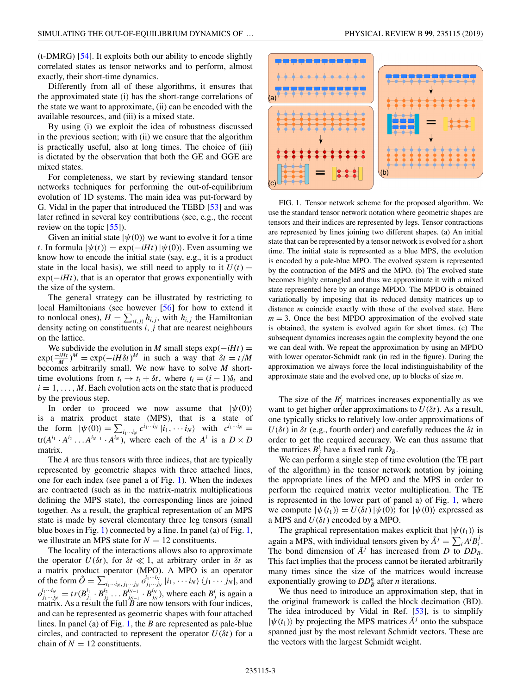<span id="page-2-0"></span>(t-DMRG) [\[54\]](#page-10-0). It exploits both our ability to encode slightly correlated states as tensor networks and to perform, almost exactly, their short-time dynamics.

Differently from all of these algorithms, it ensures that the approximated state (i) has the short-range correlations of the state we want to approximate, (ii) can be encoded with the available resources, and (iii) is a mixed state.

By using (i) we exploit the idea of robustness discussed in the previous section; with (ii) we ensure that the algorithm is practically useful, also at long times. The choice of (iii) is dictated by the observation that both the GE and GGE are mixed states.

For completeness, we start by reviewing standard tensor networks techniques for performing the out-of-equilibrium evolution of 1D systems. The main idea was put-forward by G. Vidal in the paper that introduced the TEBD [\[53\]](#page-10-0) and was later refined in several key contributions (see, e.g., the recent review on the topic [\[55\]](#page-10-0)).

Given an initial state  $|\psi(0)\rangle$  we want to evolve it for a time *t*. In formula  $|\psi(t)\rangle = \exp(-iHt) |\psi(0)\rangle$ . Even assuming we know how to encode the initial state (say, e.g., it is a product state in the local basis), we still need to apply to it  $U(t) =$ exp(−*iHt*), that is an operator that grows exponentially with the size of the system.

The general strategy can be illustrated by restricting to local Hamiltonians (see however [\[56\]](#page-10-0) for how to extend it to nonlocal ones),  $H = \sum_{\langle i,j \rangle} h_{i,j}$ , with  $h_{i,j}$  the Hamiltonian density acting on constituents *i*, *j* that are nearest neighbours on the lattice.

We subdivide the evolution in *M* small steps  $exp(-iHt)$  =  $\exp(\frac{-iHt}{M})^M = \exp(-iH\delta t)^M$  in such a way that  $\delta t = t/M$ becomes arbitrarily small. We now have to solve *M* shorttime evolutions from  $t_i \rightarrow t_i + \delta t$ , where  $t_i = (i - 1)\delta_t$  and  $i = 1, \ldots, M$ . Each evolution acts on the state that is produced by the previous step.

In order to proceed we now assume that  $|\psi(0)\rangle$ is a matrix product state (MPS), that is a state of the form  $|\psi(0)\rangle = \sum_{i_1\cdots i_N} c^{i_1\cdots i_N} |i_1,\cdots i_N\rangle$  with  $c^{i_1\cdots i_N} =$  $tr(A^{i_1} \cdot A^{i_2} \dots A^{i_{N-1}} \cdot A^{i_N})$ , where each of the *A<sup>i</sup>* is a  $D \times D$ matrix.

The *A* are thus tensors with three indices, that are typically represented by geometric shapes with three attached lines, one for each index (see panel a of Fig. 1). When the indexes are contracted (such as in the matrix-matrix multiplications defining the MPS state), the corresponding lines are joined together. As a result, the graphical representation of an MPS state is made by several elementary three leg tensors (small blue boxes in Fig. 1) connected by a line. In panel (a) of Fig. 1, we illustrate an MPS state for  $N = 12$  constituents.

The locality of the interactions allows also to approximate the operator  $U(\delta t)$ , for  $\delta t \ll 1$ , at arbitrary order in  $\delta t$  as a matrix product operator (MPO). A MPO is an operator of the form  $\hat{O} = \sum_{i_1 \cdots i_N, j_1 \cdots j_N} \hat{o}_{j_1 \cdots j_N}^{i_1 \cdots i_N} |i_1, \cdots i_N\rangle \langle j_1 \cdots j_N|$ , and  $o_{j_1...j_N}^{i_1...i_N} = tr(B_{j_1}^{i_1} \cdot B_{j_2}^{i_2} \dots B_{j_{N-1}}^{i_{N-1}} \cdot B_{j_N}^{i_N})$ , where each  $B_j^i$  is again a matrix. As a result the full  $\hat{B}$  are now tensors with four indices, and can be represented as geometric shapes with four attached lines. In panel (a) of Fig. 1, the *B* are represented as pale-blue circles, and contracted to represent the operator  $U(\delta t)$  for a chain of  $N = 12$  constituents.



FIG. 1. Tensor network scheme for the proposed algorithm. We use the standard tensor network notation where geometric shapes are tensors and their indices are represented by legs. Tensor contractions are represented by lines joining two different shapes. (a) An initial state that can be represented by a tensor network is evolved for a short time. The initial state is represented as a blue MPS, the evolution is encoded by a pale-blue MPO. The evolved system is represented by the contraction of the MPS and the MPO. (b) The evolved state becomes highly entangled and thus we approximate it with a mixed state represented here by an orange MPDO. The MPDO is obtained variationally by imposing that its reduced density matrices up to distance *m* coincide exactly with those of the evolved state. Here  $m = 3$ . Once the best MPDO approximation of the evolved state is obtained, the system is evolved again for short times. (c) The subsequent dynamics increases again the complexity beyond the one we can deal with. We repeat the approximation by using an MPDO with lower operator-Schmidt rank (in red in the figure). During the approximation we always force the local indistinguishability of the approximate state and the evolved one, up to blocks of size *m*.

The size of the  $B_j^i$  matrices increases exponentially as we want to get higher order approximations to *U* (δ*t*). As a result, one typically sticks to relatively low-order approximations of  $U(\delta t)$  in  $\delta t$  (e.g., fourth order) and carefully reduces the  $\delta t$  in order to get the required accuracy. We can thus assume that the matrices  $B^i_j$  have a fixed rank  $D_B$ .

We can perform a single step of time evolution (the TE part of the algorithm) in the tensor network notation by joining the appropriate lines of the MPO and the MPS in order to perform the required matrix vector multiplication. The TE is represented in the lower part of panel a) of Fig. 1, where we compute  $|\psi(t_1)\rangle = U(\delta t) |\psi(0)\rangle$  for  $|\psi(0)\rangle$  expressed as a MPS and  $U(\delta t)$  encoded by a MPO.

The graphical representation makes explicit that  $|\psi(t_1)\rangle$  is again a MPS, with individual tensors given by  $\tilde{A}^j = \sum_i A^i B_i^j$ . The bond dimension of  $\tilde{A}^j$  has increased from *D* to  $DD_B$ . This fact implies that the process cannot be iterated arbitrarily many times since the size of the matrices would increase exponentially growing to  $DD_B^n$  after *n* iterations.

We thus need to introduce an approximation step, that in the original framework is called the block decimation (BD). The idea introduced by Vidal in Ref. [\[53\]](#page-10-0), is to simplify  $|\psi(t_1)\rangle$  by projecting the MPS matrices  $\tilde{A}^j$  onto the subspace spanned just by the most relevant Schmidt vectors. These are the vectors with the largest Schmidt weight.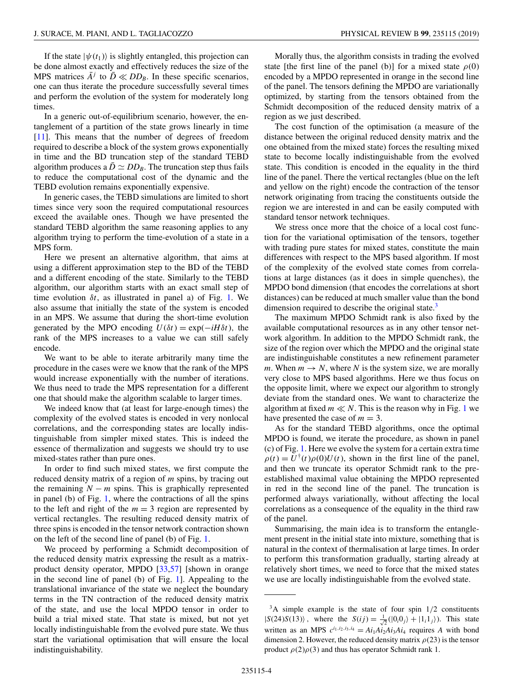If the state  $|\psi(t_1)\rangle$  is slightly entangled, this projection can be done almost exactly and effectively reduces the size of the MPS matrices  $\overline{A}^j$  to  $\overline{D} \ll DD_B$ . In these specific scenarios, one can thus iterate the procedure successfully several times and perform the evolution of the system for moderately long times.

In a generic out-of-equilibrium scenario, however, the entanglement of a partition of the state grows linearly in time [\[11\]](#page-9-0). This means that the number of degrees of freedom required to describe a block of the system grows exponentially in time and the BD truncation step of the standard TEBD algorithm produces a  $\bar{D} \simeq DD_B$ . The truncation step thus fails to reduce the computational cost of the dynamic and the TEBD evolution remains exponentially expensive.

In generic cases, the TEBD simulations are limited to short times since very soon the required computational resources exceed the available ones. Though we have presented the standard TEBD algorithm the same reasoning applies to any algorithm trying to perform the time-evolution of a state in a MPS form.

Here we present an alternative algorithm, that aims at using a different approximation step to the BD of the TEBD and a different encoding of the state. Similarly to the TEBD algorithm, our algorithm starts with an exact small step of time evolution  $\delta t$ , as illustrated in panel a) of Fig. [1.](#page-2-0) We also assume that initially the state of the system is encoded in an MPS. We assume that during the short-time evolution generated by the MPO encoding  $U(\delta t) = \exp(-iH\delta t)$ , the rank of the MPS increases to a value we can still safely encode.

We want to be able to iterate arbitrarily many time the procedure in the cases were we know that the rank of the MPS would increase exponentially with the number of iterations. We thus need to trade the MPS representation for a different one that should make the algorithm scalable to larger times.

We indeed know that (at least for large-enough times) the complexity of the evolved states is encoded in very nonlocal correlations, and the corresponding states are locally indistinguishable from simpler mixed states. This is indeed the essence of thermalization and suggests we should try to use mixed-states rather than pure ones.

In order to find such mixed states, we first compute the reduced density matrix of a region of *m* spins, by tracing out the remaining  $N - m$  spins. This is graphically represented in panel (b) of Fig. [1,](#page-2-0) where the contractions of all the spins to the left and right of the  $m = 3$  region are represented by vertical rectangles. The resulting reduced density matrix of three spins is encoded in the tensor network contraction shown on the left of the second line of panel (b) of Fig. [1.](#page-2-0)

We proceed by performing a Schmidt decomposition of the reduced density matrix expressing the result as a matrixproduct density operator, MPDO [\[33,57\]](#page-10-0) [shown in orange in the second line of panel (b) of Fig. [1\]](#page-2-0). Appealing to the translational invariance of the state we neglect the boundary terms in the TN contraction of the reduced density matrix of the state, and use the local MPDO tensor in order to build a trial mixed state. That state is mixed, but not yet locally indistinguishable from the evolved pure state. We thus start the variational optimisation that will ensure the local indistinguishability.

Morally thus, the algorithm consists in trading the evolved state [the first line of the panel (b)] for a mixed state  $\rho(0)$ encoded by a MPDO represented in orange in the second line of the panel. The tensors defining the MPDO are variationally optimized, by starting from the tensors obtained from the Schmidt decomposition of the reduced density matrix of a region as we just described.

The cost function of the optimisation (a measure of the distance between the original reduced density matrix and the one obtained from the mixed state) forces the resulting mixed state to become locally indistinguishable from the evolved state. This condition is encoded in the equality in the third line of the panel. There the vertical rectangles (blue on the left and yellow on the right) encode the contraction of the tensor network originating from tracing the constituents outside the region we are interested in and can be easily computed with standard tensor network techniques.

We stress once more that the choice of a local cost function for the variational optimisation of the tensors, together with trading pure states for mixed states, constitute the main differences with respect to the MPS based algorithm. If most of the complexity of the evolved state comes from correlations at large distances (as it does in simple quenches), the MPDO bond dimension (that encodes the correlations at short distances) can be reduced at much smaller value than the bond dimension required to describe the original state.<sup>3</sup>

The maximum MPDO Schmidt rank is also fixed by the available computational resources as in any other tensor network algorithm. In addition to the MPDO Schmidt rank, the size of the region over which the MPDO and the original state are indistinguishable constitutes a new refinement parameter *m*. When  $m \rightarrow N$ , where *N* is the system size, we are morally very close to MPS based algorithms. Here we thus focus on the opposite limit, where we expect our algorithm to strongly deviate from the standard ones. We want to characterize the algorithm at fixed  $m \ll N$ . This is the reason why in Fig. [1](#page-2-0) we have presented the case of  $m = 3$ .

As for the standard TEBD algorithms, once the optimal MPDO is found, we iterate the procedure, as shown in panel (c) of Fig. [1.](#page-2-0) Here we evolve the system for a certain extra time  $\rho(t) = U^{\dagger}(t)\rho(0)U(t)$ , shown in the first line of the panel, and then we truncate its operator Schmidt rank to the preestablished maximal value obtaining the MPDO represented in red in the second line of the panel. The truncation is performed always variationally, without affecting the local correlations as a consequence of the equality in the third raw of the panel.

Summarising, the main idea is to transform the entanglement present in the initial state into mixture, something that is natural in the context of thermalisation at large times. In order to perform this transformation gradually, starting already at relatively short times, we need to force that the mixed states we use are locally indistinguishable from the evolved state.

 $3A$  simple example is the state of four spin  $1/2$  constituents  $|S(24)S(13)\rangle$ , where the  $S(ij) = \frac{1}{\sqrt{2}}(|0_i 0_j \rangle + |1_i 1_j \rangle)$ . This state written as an MPS  $c^{i_1,i_2,i_3,i_4} = Ai_1Ai_2Ai_3Ai_4$  requires *A* with bond dimension 2. However, the reduced density matrix  $\rho(23)$  is the tensor product  $\rho(2)\rho(3)$  and thus has operator Schmidt rank 1.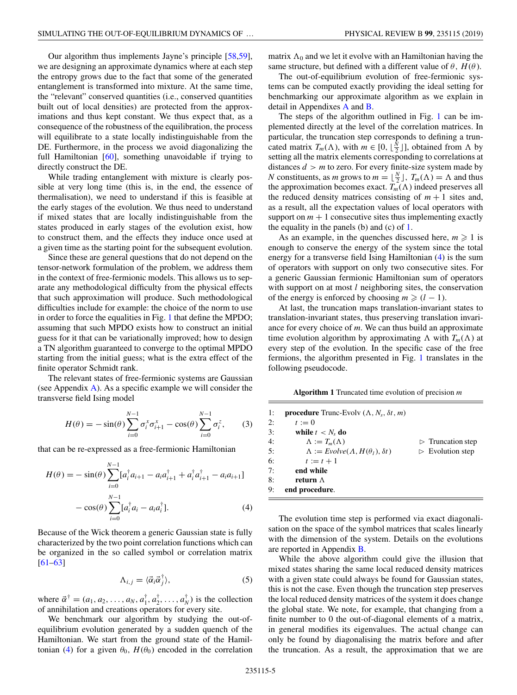<span id="page-4-0"></span>Our algorithm thus implements Jayne's principle [\[58,59\]](#page-10-0), we are designing an approximate dynamics where at each step the entropy grows due to the fact that some of the generated entanglement is transformed into mixture. At the same time, the "relevant" conserved quantities (i.e., conserved quantities built out of local densities) are protected from the approximations and thus kept constant. We thus expect that, as a consequence of the robustness of the equilibration, the process will equilibrate to a state locally indistinguishable from the DE. Furthermore, in the process we avoid diagonalizing the full Hamiltonian [\[60\]](#page-10-0), something unavoidable if trying to directly construct the DE.

While trading entanglement with mixture is clearly possible at very long time (this is, in the end, the essence of thermalisation), we need to understand if this is feasible at the early stages of the evolution. We thus need to understand if mixed states that are locally indistinguishable from the states produced in early stages of the evolution exist, how to construct them, and the effects they induce once used at a given time as the starting point for the subsequent evolution.

Since these are general questions that do not depend on the tensor-network formulation of the problem, we address them in the context of free-fermionic models. This allows us to separate any methodological difficulty from the physical effects that such approximation will produce. Such methodological difficulties include for example: the choice of the norm to use in order to force the equalities in Fig. [1](#page-2-0) that define the MPDO; assuming that such MPDO exists how to construct an initial guess for it that can be variationally improved; how to design a TN algorithm guaranteed to converge to the optimal MPDO starting from the initial guess; what is the extra effect of the finite operator Schmidt rank.

The relevant states of free-fermionic systems are Gaussian (see Appendix  $\overline{A}$ ). As a specific example we will consider the transverse field Ising model

$$
H(\theta) = -\sin(\theta) \sum_{i=0}^{N-1} \sigma_i^x \sigma_{i+1}^x - \cos(\theta) \sum_{i=0}^{N-1} \sigma_i^z,
$$
 (3)

that can be re-expressed as a free-fermionic Hamiltonian

$$
H(\theta) = -\sin(\theta) \sum_{i=0}^{N-1} [a_i^{\dagger} a_{i+1} - a_i a_{i+1}^{\dagger} + a_i^{\dagger} a_{i+1}^{\dagger} - a_i a_{i+1}]
$$

$$
-\cos(\theta) \sum_{i=0}^{N-1} [a_i^{\dagger} a_i - a_i a_i^{\dagger}]. \tag{4}
$$

Because of the Wick theorem a generic Gaussian state is fully characterized by the two point correlation functions which can be organized in the so called symbol or correlation matrix [\[61–63\]](#page-10-0)

$$
\Lambda_{i,j} = \langle \vec{\alpha}_i \vec{\alpha}_j^{\dagger} \rangle, \tag{5}
$$

where  $\vec{\alpha}^{\dagger} = (a_1, a_2, \dots, a_N, a_1^{\dagger}, a_2^{\dagger}, \dots, a_N^{\dagger})$  is the collection of annihilation and creations operators for every site.

We benchmark our algorithm by studying the out-ofequilibrium evolution generated by a sudden quench of the Hamiltonian. We start from the ground state of the Hamiltonian (4) for a given  $\theta_0$ ,  $H(\theta_0)$  encoded in the correlation matrix  $\Lambda_0$  and we let it evolve with an Hamiltonian having the same structure, but defined with a different value of  $\theta$ ,  $H(\theta)$ .

The out-of-equilibrium evolution of free-fermionic systems can be computed exactly providing the ideal setting for benchmarking our approximate algorithm as we explain in detail in Appendixes [A](#page-8-0) and [B.](#page-8-0)

The steps of the algorithm outlined in Fig. [1](#page-2-0) can be implemented directly at the level of the correlation matrices. In particular, the truncation step corresponds to defining a truncated matrix  $T_m(\Lambda)$ , with  $m \in [0, \lfloor \frac{\overline{N}}{2} \rfloor]$ , obtained from  $\Lambda$  by setting all the matrix elements corresponding to correlations at distances  $d > m$  to zero. For every finite-size system made by *N* constituents, as *m* grows to  $m = \lfloor \frac{N}{2} \rfloor$ ,  $T_m(\Lambda) = \Lambda$  and thus the approximation becomes exact.  $T_m(\Lambda)$  indeed preserves all the reduced density matrices consisting of  $m + 1$  sites and, as a result, all the expectation values of local operators with support on  $m + 1$  consecutive sites thus implementing exactly the equality in the panels (b) and (c) of  $1$ .

As an example, in the quenches discussed here,  $m \geq 1$  is enough to conserve the energy of the system since the total energy for a transverse field Ising Hamiltonian (4) is the sum of operators with support on only two consecutive sites. For a generic Gaussian fermionic Hamiltonian sum of operators with support on at most *l* neighboring sites, the conservation of the energy is enforced by choosing  $m \geq (l - 1)$ .

At last, the truncation maps translation-invariant states to translation-invariant states, thus preserving translation invariance for every choice of *m*. We can thus build an approximate time evolution algorithm by approximating  $\Lambda$  with  $T_m(\Lambda)$  at every step of the evolution. In the specific case of the free fermions, the algorithm presented in Fig. [1](#page-2-0) translates in the following pseudocode.

**Algorithm 1** Truncated time evolution of precision *m*

| $\cdot$ | <b>procedure</b> Trunc-Evolv $(\Lambda, N_s, \delta t, m)$ |                                  |
|---------|------------------------------------------------------------|----------------------------------|
| 2:      | $t := 0$                                                   |                                  |
| 3:      | while $t < N_s$ do                                         |                                  |
| 4:      | $\Lambda := T_m(\Lambda)$                                  | $\triangleright$ Truncation step |
| 5:      | $\Lambda := Evolve(\Lambda, H(\theta_1), \delta t)$        | $\triangleright$ Evolution step  |
| 6:      | $t := t + 1$                                               |                                  |
| 7:      | end while                                                  |                                  |
| 8:      | return $\Lambda$                                           |                                  |
| 9:      | end procedure.                                             |                                  |

The evolution time step is performed via exact diagonalisation on the space of the symbol matrices that scales linearly with the dimension of the system. Details on the evolutions are reported in Appendix [B.](#page-8-0)

While the above algorithm could give the illusion that mixed states sharing the same local reduced density matrices with a given state could always be found for Gaussian states, this is not the case. Even though the truncation step preserves the local reduced density matrices of the system it does change the global state. We note, for example, that changing from a finite number to 0 the out-of-diagonal elements of a matrix, in general modifies its eigenvalues. The actual change can only be found by diagonalising the matrix before and after the truncation. As a result, the approximation that we are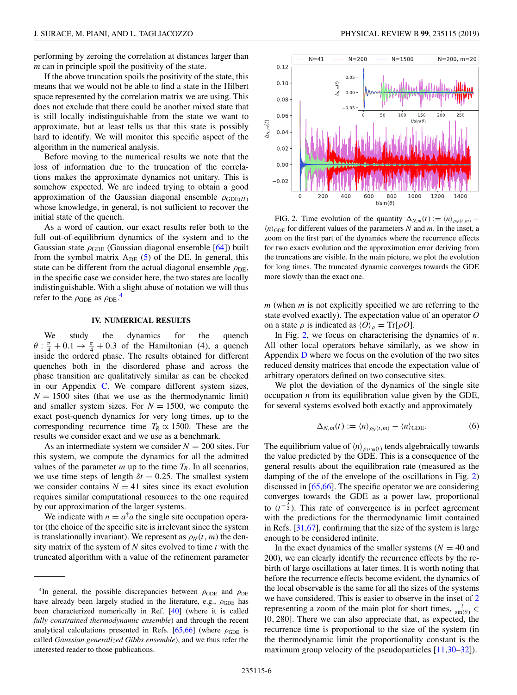performing by zeroing the correlation at distances larger than *m* can in principle spoil the positivity of the state.

If the above truncation spoils the positivity of the state, this means that we would not be able to find a state in the Hilbert space represented by the correlation matrix we are using. This does not exclude that there could be another mixed state that is still locally indistinguishable from the state we want to approximate, but at least tells us that this state is possibly hard to identify. We will monitor this specific aspect of the algorithm in the numerical analysis.

Before moving to the numerical results we note that the loss of information due to the truncation of the correlations makes the approximate dynamics not unitary. This is somehow expected. We are indeed trying to obtain a good approximation of the Gaussian diagonal ensemble  $\rho_{GDE(H)}$ whose knowledge, in general, is not sufficient to recover the initial state of the quench.

As a word of caution, our exact results refer both to the full out-of-equilibrium dynamics of the system and to the Gaussian state  $\rho_{GDE}$  (Gaussian diagonal ensemble [\[64\]](#page-10-0)) built from the symbol matrix  $\Lambda_{DE}$  [\(5\)](#page-4-0) of the DE. In general, this state can be different from the actual diagonal ensemble  $\rho_{\text{DE}}$ , in the specific case we consider here, the two states are locally indistinguishable. With a slight abuse of notation we will thus refer to the  $\rho_{\text{GDE}}$  as  $\rho_{\text{DE}}$ .<sup>4</sup>

### **IV. NUMERICAL RESULTS**

We study the dynamics for the quench  $\theta$ :  $\frac{\pi}{4} + 0.1 \rightarrow \frac{\pi}{4} + 0.3$  of the Hamiltonian (4), a quench inside the ordered phase. The results obtained for different quenches both in the disordered phase and across the phase transition are qualitatively similar as can be checked in our Appendix [C.](#page-9-0) We compare different system sizes,  $N = 1500$  sites (that we use as the thermodynamic limit) and smaller system sizes. For  $N = 1500$ , we compute the exact post-quench dynamics for very long times, up to the corresponding recurrence time  $T_R \propto 1500$ . These are the results we consider exact and we use as a benchmark.

As an intermediate system we consider  $N = 200$  sites. For this system, we compute the dynamics for all the admitted values of the parameter  $m$  up to the time  $T_R$ . In all scenarios, we use time steps of length  $\delta t = 0.25$ . The smallest system we consider contains  $N = 41$  sites since its exact evolution requires similar computational resources to the one required by our approximation of the larger systems.

We indicate with  $n = a^{\dagger} a$  the single site occupation operator (the choice of the specific site is irrelevant since the system is translationally invariant). We represent as  $\rho_N(t, m)$  the density matrix of the system of *N* sites evolved to time *t* with the truncated algorithm with a value of the refinement parameter



FIG. 2. Time evolution of the quantity  $\Delta_{N,m}(t) := \langle n \rangle_{\rho_N(t,m)}$  –  $\langle n \rangle_{\text{GDE}}$  for different values of the parameters *N* and *m*. In the inset, a zoom on the first part of the dynamics where the recurrence effects for two exacts evolution and the approximation error deriving from the truncations are visible. In the main picture, we plot the evolution for long times. The truncated dynamic converges towards the GDE more slowly than the exact one.

*m* (when *m* is not explicitly specified we are referring to the state evolved exactly). The expectation value of an operator *O* on a state  $\rho$  is indicated as  $\langle O \rangle_{\rho} = \text{Tr}[\rho O].$ 

In Fig. 2, we focus on characterising the dynamics of *n*. All other local operators behave similarly, as we show in Appendix [D](#page-9-0) where we focus on the evolution of the two sites reduced density matrices that encode the expectation value of arbitrary operators defined on two consecutive sites.

We plot the deviation of the dynamics of the single site occupation *n* from its equilibration value given by the GDE, for several systems evolved both exactly and approximately

$$
\Delta_{N,m}(t) := \langle n \rangle_{\rho_N(t,m)} - \langle n \rangle_{\text{GDE}}.\tag{6}
$$

The equilibrium value of  $\langle n \rangle_{\rho_{1500}(t)}$  tends algebraically towards the value predicted by the GDE. This is a consequence of the general results about the equilibration rate (measured as the damping of the of the envelope of the oscillations in Fig. 2) discussed in [\[65,66\]](#page-10-0). The specific operator we are considering converges towards the GDE as a power law, proportional to  $(t^{-\frac{3}{2}})$ . This rate of convergence is in perfect agreement with the predictions for the thermodynamic limit contained in Refs. [\[31,67\]](#page-10-0), confirming that the size of the system is large enough to be considered infinite.

In the exact dynamics of the smaller systems  $(N = 40$  and 200), we can clearly identify the recurrence effects by the rebirth of large oscillations at later times. It is worth noting that before the recurrence effects become evident, the dynamics of the local observable is the same for all the sizes of the systems we have considered. This is easier to observe in the inset of 2 representing a zoom of the main plot for short times,  $\frac{t}{\sin(\theta)} \in$  $[0, 280]$ . There we can also appreciate that, as expected, the recurrence time is proportional to the size of the system (in the thermodynamic limit the proportionality constant is the maximum group velocity of the pseudoparticles [\[11](#page-9-0)[,30–32\]](#page-10-0)).

<sup>&</sup>lt;sup>4</sup>In general, the possible discrepancies between  $\rho_{\text{GDE}}$  and  $\rho_{\text{DE}}$ have already been largely studied in the literature, e.g.,  $\rho_{\rm GDE}$  has been characterized numerically in Ref. [\[40\]](#page-10-0) (where it is called *fully constrained thermodynamic ensemble*) and through the recent analytical calculations presented in Refs. [\[65,66\]](#page-10-0) (where  $\rho_{\rm GDE}$  is called *Gaussian generalized Gibbs ensemble*), and we thus refer the interested reader to those publications.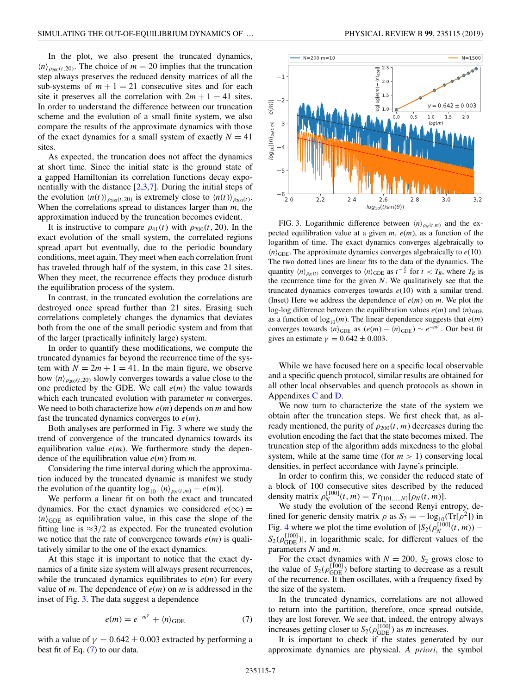<span id="page-6-0"></span>In the plot, we also present the truncated dynamics,  $\langle n \rangle_{\rho_{200}(t,20)}$ . The choice of  $m = 20$  implies that the truncation step always preserves the reduced density matrices of all the sub-systems of  $m + 1 = 21$  consecutive sites and for each site it preserves all the correlation with  $2m + 1 = 41$  sites. In order to understand the difference between our truncation scheme and the evolution of a small finite system, we also compare the results of the approximate dynamics with those of the exact dynamics for a small system of exactly  $N = 41$ sites.

As expected, the truncation does not affect the dynamics at short time. Since the initial state is the ground state of a gapped Hamiltonian its correlation functions decay exponentially with the distance  $[2,3,7]$ . During the initial steps of the evolution  $\langle n(t) \rangle_{\rho_{200}(t,20)}$  is extremely close to  $\langle n(t) \rangle_{\rho_{200}(t)}$ . When the correlations spread to distances larger than *m*, the approximation induced by the truncation becomes evident.

It is instructive to compare  $\rho_{41}(t)$  with  $\rho_{200}(t, 20)$ . In the exact evolution of the small system, the correlated regions spread apart but eventually, due to the periodic boundary conditions, meet again. They meet when each correlation front has traveled through half of the system, in this case 21 sites. When they meet, the recurrence effects they produce disturb the equilibration process of the system.

In contrast, in the truncated evolution the correlations are destroyed once spread further than 21 sites. Erasing such correlations completely changes the dynamics that deviates both from the one of the small periodic system and from that of the larger (practically infinitely large) system.

In order to quantify these modifications, we compute the truncated dynamics far beyond the recurrence time of the system with  $N = 2m + 1 = 41$ . In the main figure, we observe how  $\langle n \rangle_{\rho_{200}(t,20)}$  slowly converges towards a value close to the one predicted by the GDE. We call *e*(*m*) the value towards which each truncated evolution with parameter *m* converges. We need to both characterize how *e*(*m*) depends on *m* and how fast the truncated dynamics converges to *e*(*m*).

Both analyses are performed in Fig. 3 where we study the trend of convergence of the truncated dynamics towards its equilibration value  $e(m)$ . We furthermore study the dependence of the equilibration value *e*(*m*) from *m*.

Considering the time interval during which the approximation induced by the truncated dynamic is manifest we study the evolution of the quantity  $\log_{10} |\langle n \rangle_{\rho_N(t,m)} - e(m)|$ .

We perform a linear fit on both the exact and truncated dynamics. For the exact dynamics we considered  $e(\infty)$  =  $\langle n \rangle_{\text{GDE}}$  as equilibration value, in this case the slope of the fitting line is  $\approx 3/2$  as expected. For the truncated evolution we notice that the rate of convergence towards  $e(m)$  is qualitatively similar to the one of the exact dynamics.

At this stage it is important to notice that the exact dynamics of a finite size system will always present recurrences, while the truncated dynamics equilibrates to  $e(m)$  for every value of *m*. The dependence of *e*(*m*) on *m* is addressed in the inset of Fig. 3. The data suggest a dependence

$$
e(m) = e^{-m^{\gamma}} + \langle n \rangle_{\text{GDE}} \tag{7}
$$

with a value of  $\gamma = 0.642 \pm 0.003$  extracted by performing a best fit of Eq. (7) to our data.



FIG. 3. Logarithmic difference between  $\langle n \rangle_{\rho_N(t,m)}$  and the expected equilibration value at a given *m*, *e*(*m*), as a function of the logarithm of time. The exact dynamics converges algebraically to  $\langle n \rangle_{\text{GDE}}$ . The approximate dynamics converges algebraically to *e*(10). The two dotted lines are linear fits to the data of the dynamics. The quantity  $\langle n \rangle_{\rho_N(t)}$  converges to  $\langle n \rangle_{\text{GDE}}$  as  $t^{-\frac{3}{2}}$  for  $t < T_R$ , where  $T_R$  is the recurrence time for the given *N*. We qualitatively see that the truncated dynamics converges towards *e*(10) with a similar trend. (Inset) Here we address the dependence of *e*(*m*) on *m*. We plot the log-log difference between the equilibration values  $e(m)$  and  $\langle n \rangle_{\text{GDE}}$ as a function of  $log_{10}(m)$ . The linear dependence suggests that  $e(m)$ converges towards  $\langle n \rangle_{\text{GDE}}$  as  $(e(m) - \langle n \rangle_{\text{GDE}}) \sim e^{-m^{\gamma}}$ . Our best fit gives an estimate  $\gamma = 0.642 \pm 0.003$ .

While we have focused here on a specific local observable and a specific quench protocol, similar results are obtained for all other local observables and quench protocols as shown in Appendixes  $C$  and  $D$ .

We now turn to characterize the state of the system we obtain after the truncation steps. We first check that, as already mentioned, the purity of  $\rho_{200}(t, m)$  decreases during the evolution encoding the fact that the state becomes mixed. The truncation step of the algorithm adds mixedness to the global system, while at the same time (for  $m > 1$ ) conserving local densities, in perfect accordance with Jayne's principle.

In order to confirm this, we consider the reduced state of a block of 100 consecutive sites described by the reduced density matrix  $\rho_N^{[100]}(t, m) = Tr_{[101, ..., N]}[\rho_N(t, m)].$ 

We study the evolution of the second Renyi entropy, defined for generic density matrix  $\rho$  as  $S_2 = -\log_{10}(\text{Tr}[\rho^2])$  in Fig. [4](#page-7-0) where we plot the time evolution of  $|S_2(\rho_N^{[100]}(t, m)) S_2(\rho_{\rm GDE}^{[100]})$ , in logarithmic scale, for different values of the parameters *N* and *m*.

For the exact dynamics with  $N = 200$ ,  $S_2$  grows close to the value of  $S_2(\rho_{\text{GDE}}^{[100]})$  before starting to decrease as a result of the recurrence. It then oscillates, with a frequency fixed by the size of the system.

In the truncated dynamics, correlations are not allowed to return into the partition, therefore, once spread outside, they are lost forever. We see that, indeed, the entropy always increases getting closer to  $S_2(\rho_{\rm GDE}^{[100]})$  as *m* increases.

It is important to check if the states generated by our approximate dynamics are physical. *A priori*, the symbol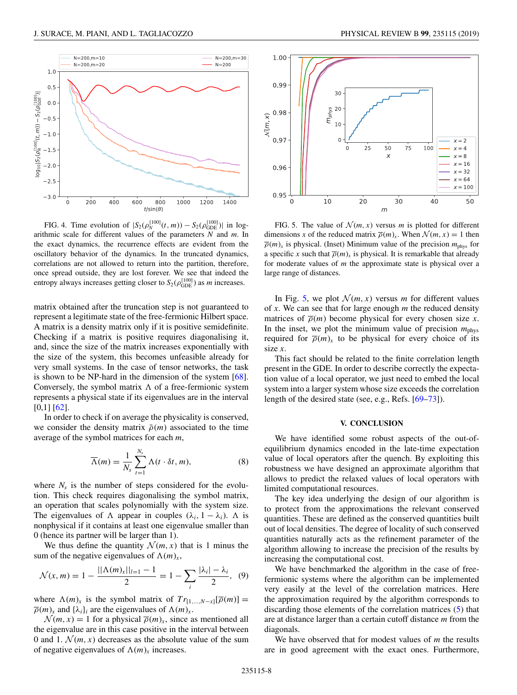<span id="page-7-0"></span>

FIG. 4. Time evolution of  $|S_2(\rho_N^{[100]}(t, m)) - S_2(\rho_{\text{GDE}}^{[100]})|$  in logarithmic scale for different values of the parameters *N* and *m*. In the exact dynamics, the recurrence effects are evident from the oscillatory behavior of the dynamics. In the truncated dynamics, correlations are not allowed to return into the partition, therefore, once spread outside, they are lost forever. We see that indeed the entropy always increases getting closer to  $S_2(\rho_{\rm GDE}^{[100]})$  as *m* increases.

matrix obtained after the truncation step is not guaranteed to represent a legitimate state of the free-fermionic Hilbert space. A matrix is a density matrix only if it is positive semidefinite. Checking if a matrix is positive requires diagonalising it, and, since the size of the matrix increases exponentially with the size of the system, this becomes unfeasible already for very small systems. In the case of tensor networks, the task is shown to be NP-hard in the dimension of the system [\[68\]](#page-10-0). Conversely, the symbol matrix  $\Lambda$  of a free-fermionic system represents a physical state if its eigenvalues are in the interval  $[0,1]$   $[62]$ .

In order to check if on average the physicality is conserved, we consider the density matrix  $\bar{\rho}(m)$  associated to the time average of the symbol matrices for each *m*,

$$
\overline{\Lambda}(m) = \frac{1}{N_s} \sum_{t=1}^{N_s} \Lambda(t \cdot \delta t, m), \tag{8}
$$

where  $N_s$  is the number of steps considered for the evolution. This check requires diagonalising the symbol matrix, an operation that scales polynomially with the system size. The eigenvalues of  $\Lambda$  appear in couples  $(\lambda_i, 1 - \lambda_i)$ .  $\Lambda$  is nonphysical if it contains at least one eigenvalue smaller than 0 (hence its partner will be larger than 1).

We thus define the quantity  $\mathcal{N}(m, x)$  that is 1 minus the sum of the negative eigenvalues of  $\Lambda(m)_x$ ,

$$
\mathcal{N}(x,m) = 1 - \frac{||\Lambda(m)_x||_{l=1} - 1}{2} = 1 - \sum_i \frac{|\lambda_i| - \lambda_i}{2}, \tag{9}
$$

where  $\Lambda(m)_x$  is the symbol matrix of  $Tr_{[1,...,N-x]}[\overline{\rho}(m)] =$  $\overline{\rho}(m)_x$  and  $\{\lambda_i\}_i$  are the eigenvalues of  $\Lambda(m)_x$ .

 $\mathcal{N}(m, x) = 1$  for a physical  $\overline{\rho}(m)_x$ , since as mentioned all the eigenvalue are in this case positive in the interval between 0 and 1.  $\mathcal{N}(m, x)$  decreases as the absolute value of the sum of negative eigenvalues of  $\Lambda(m)_x$  increases.



FIG. 5. The value of  $\mathcal{N}(m, x)$  versus *m* is plotted for different dimensions *x* of the reduced matrix  $\overline{\rho}(m)_x$ . When  $\mathcal{N}(m, x) = 1$  then  $\overline{\rho}(m)_x$  is physical. (Inset) Minimum value of the precision  $m_{\text{phys}}$  for a specific *x* such that  $\overline{\rho}(m)_x$  is physical. It is remarkable that already for moderate values of *m* the approximate state is physical over a large range of distances.

In Fig. 5, we plot  $\mathcal{N}(m, x)$  versus *m* for different values of *x*. We can see that for large enough *m* the reduced density matrices of  $\overline{\rho}(m)$  become physical for every chosen size *x*. In the inset, we plot the minimum value of precision  $m_{\text{phys}}$ required for  $\overline{\rho}(m)_x$  to be physical for every choice of its size *x*.

This fact should be related to the finite correlation length present in the GDE. In order to describe correctly the expectation value of a local operator, we just need to embed the local system into a larger system whose size exceeds the correlation length of the desired state (see, e.g., Refs. [\[69–73\]](#page-10-0)).

#### **V. CONCLUSION**

We have identified some robust aspects of the out-ofequilibrium dynamics encoded in the late-time expectation value of local operators after the quench. By exploiting this robustness we have designed an approximate algorithm that allows to predict the relaxed values of local operators with limited computational resources.

The key idea underlying the design of our algorithm is to protect from the approximations the relevant conserved quantities. These are defined as the conserved quantities built out of local densities. The degree of locality of such conserved quantities naturally acts as the refinement parameter of the algorithm allowing to increase the precision of the results by increasing the computational cost.

We have benchmarked the algorithm in the case of freefermionic systems where the algorithm can be implemented very easily at the level of the correlation matrices. Here the approximation required by the algorithm corresponds to discarding those elements of the correlation matrices [\(5\)](#page-4-0) that are at distance larger than a certain cutoff distance *m* from the diagonals.

We have observed that for modest values of *m* the results are in good agreement with the exact ones. Furthermore,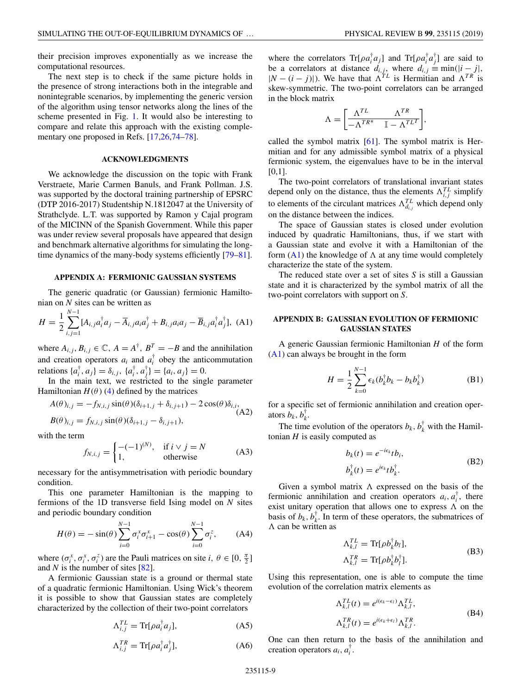<span id="page-8-0"></span>their precision improves exponentially as we increase the computational resources.

The next step is to check if the same picture holds in the presence of strong interactions both in the integrable and nonintegrable scenarios, by implementing the generic version of the algorithm using tensor networks along the lines of the scheme presented in Fig. [1.](#page-2-0) It would also be interesting to compare and relate this approach with the existing complementary one proposed in Refs. [\[17](#page-9-0)[,26,74–78\]](#page-10-0).

### **ACKNOWLEDGMENTS**

We acknowledge the discussion on the topic with Frank Verstraete, Marie Carmen Banuls, and Frank Pollman. J.S. was supported by the doctoral training partnership of EPSRC (DTP 2016-2017) Studentship N.1812047 at the University of Strathclyde. L.T. was supported by Ramon y Cajal program of the MICINN of the Spanish Government. While this paper was under review several proposals have appeared that design and benchmark alternative algorithms for simulating the longtime dynamics of the many-body systems efficiently [\[79–81\]](#page-10-0).

### **APPENDIX A: FERMIONIC GAUSSIAN SYSTEMS**

The generic quadratic (or Gaussian) fermionic Hamiltonian on *N* sites can be written as

$$
H = \frac{1}{2} \sum_{i,j=1}^{N-1} [A_{i,j} a_i^{\dagger} a_j - \overline{A}_{i,j} a_i a_j^{\dagger} + B_{i,j} a_i a_j - \overline{B}_{i,j} a_i^{\dagger} a_j^{\dagger}], \text{ (A1)}
$$

where  $A_{i,j}, B_{i,j} \in \mathbb{C}$ ,  $A = A^{\dagger}, B^{T} = -B$  and the annihilation and creation operators  $a_i$  and  $a_i^{\dagger}$  obey the anticommutation relations  $\{a_i^{\dagger}, a_j\} = \delta_{i,j}, \{a_i^{\dagger}, a_j^{\dagger}\} = \{a_i, a_j\} = 0.$ 

In the main text, we restricted to the single parameter Hamiltonian  $H(\theta)$  [\(4\)](#page-4-0) defined by the matrices

$$
A(\theta)_{i,j} = -f_{N,i,j} \sin(\theta) (\delta_{i+1,j} + \delta_{i,j+1}) - 2 \cos(\theta) \delta_{i,i},
$$
  
\n
$$
B(\theta)_{i,j} = f_{N,i,j} \sin(\theta) (\delta_{i+1,j} - \delta_{i,j+1}),
$$
\n(A2)

with the term

$$
f_{N,i,j} = \begin{cases} -(-1)^{(N)}, & \text{if } i \vee j = N\\ 1, & \text{otherwise} \end{cases}
$$
 (A3)

necessary for the antisymmetrisation with periodic boundary condition.

This one parameter Hamiltonian is the mapping to fermions of the 1D transverse field Ising model on *N* sites and periodic boundary condition

$$
H(\theta) = -\sin(\theta) \sum_{i=0}^{N-1} \sigma_i^x \sigma_{i+1}^x - \cos(\theta) \sum_{i=0}^{N-1} \sigma_i^z,
$$
 (A4)

where  $(\sigma_i^x, \sigma_i^x, \sigma_i^z)$  are the Pauli matrices on site *i*,  $\theta \in [0, \frac{\pi}{2}]$ and *N* is the number of sites [\[82\]](#page-10-0).

A fermionic Gaussian state is a ground or thermal state of a quadratic fermionic Hamiltonian. Using Wick's theorem it is possible to show that Gaussian states are completely characterized by the collection of their two-point correlators

$$
\Lambda_{i,j}^{TL} = \text{Tr}[\rho a_i^{\dagger} a_j],\tag{A5}
$$

$$
\Lambda_{i,j}^{TR} = \text{Tr}[\rho a_i^{\dagger} a_j^{\dagger}],\tag{A6}
$$

where the correlators  $\text{Tr}[\rho a_i^{\dagger} a_j]$  and  $\text{Tr}[\rho a_i^{\dagger} a_j^{\dagger}]$  are said to be a correlators at distance  $d_{i,j}$ , where  $d_{i,j} \equiv \min(|i - j|,$  $|N - (i - j)|$ ). We have that  $\Lambda^{TL}$  is Hermitian and  $\Lambda^{TR}$  is skew-symmetric. The two-point correlators can be arranged in the block matrix

$$
\Lambda = \left[ \begin{array}{cc} \Lambda^{TL} & \Lambda^{TR} \\ -\Lambda^{TR^*} & \mathbb{I} - \Lambda^{TL^T} \end{array} \right],
$$

called the symbol matrix  $[61]$ . The symbol matrix is Hermitian and for any admissible symbol matrix of a physical fermionic system, the eigenvalues have to be in the interval [0,1].

The two-point correlators of translational invariant states depend only on the distance, thus the elements  $\Lambda_{i,j}^{TL}$  simplify to elements of the circulant matrices  $\Lambda_{d_{i,j}}^{TL}$  which depend only on the distance between the indices.

The space of Gaussian states is closed under evolution induced by quadratic Hamiltonians, thus, if we start with a Gaussian state and evolve it with a Hamiltonian of the form  $(A1)$  the knowledge of  $\Lambda$  at any time would completely characterize the state of the system.

The reduced state over a set of sites *S* is still a Gaussian state and it is characterized by the symbol matrix of all the two-point correlators with support on *S*.

## **APPENDIX B: GAUSSIAN EVOLUTION OF FERMIONIC GAUSSIAN STATES**

A generic Gaussian fermionic Hamiltonian *H* of the form  $(A1)$  can always be brought in the form

$$
H = \frac{1}{2} \sum_{k=0}^{N-1} \epsilon_k (b_k^{\dagger} b_k - b_k b_k^{\dagger})
$$
 (B1)

for a specific set of fermionic annihilation and creation operators  $\vec{b_k}, \vec{b_k^{\dagger}}$ .

The time evolution of the operators  $b_k$ ,  $b_k^{\dagger}$  with the Hamiltonian  $H$  is easily computed as

$$
b_k(t) = e^{-i\epsilon_k}tb_i,
$$
  
\n
$$
b_k^{\dagger}(t) = e^{i\epsilon_k}tb_k^{\dagger}.
$$
\n(B2)

Given a symbol matrix  $\Lambda$  expressed on the basis of the fermionic annihilation and creation operators  $a_i$ ,  $a_i^{\dagger}$ , there exist unitary operation that allows one to express  $\Lambda$  on the basis of  $b_k$ ,  $b_k^{\dagger}$ . In term of these operators, the submatrices of  $\Lambda$  can be written as

$$
\Lambda_{k,l}^{TL} = \text{Tr}[\rho b_k^{\dagger} b_l],
$$
  
\n
$$
\Lambda_{k,l}^{TR} = \text{Tr}[\rho b_k^{\dagger} b_l^{\dagger}].
$$
\n(B3)

Using this representation, one is able to compute the time evolution of the correlation matrix elements as

$$
\Lambda_{k,l}^{TL}(t) = e^{i(\epsilon_k - \epsilon_l)} \Lambda_{k,l}^{TL},
$$
\n
$$
\Lambda_{k,l}^{TR}(t) = e^{i(\epsilon_k + \epsilon_l)} \Lambda_{k,l}^{TR}.
$$
\n(B4)

One can then return to the basis of the annihilation and creation operators  $a_i$ ,  $a_i^{\dagger}$ .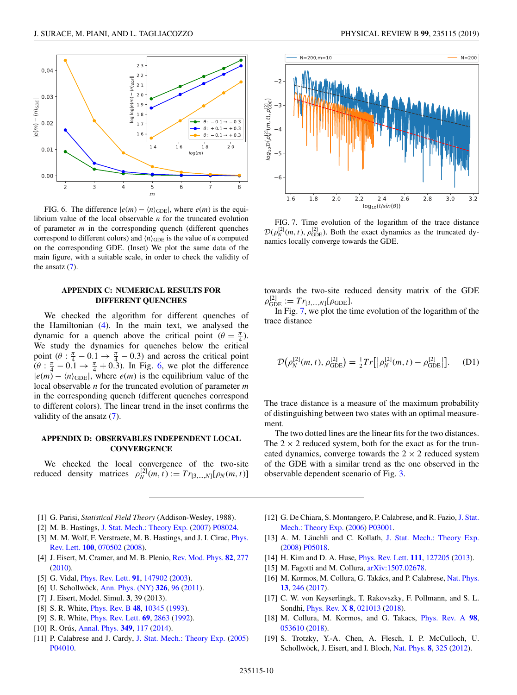<span id="page-9-0"></span>

FIG. 6. The difference  $|e(m) - \langle n \rangle_{GDE}|$ , where  $e(m)$  is the equilibrium value of the local observable *n* for the truncated evolution of parameter *m* in the corresponding quench (different quenches correspond to different colors) and  $\langle n \rangle_{\text{GDE}}$  is the value of *n* computed on the corresponding GDE. (Inset) We plot the same data of the main figure, with a suitable scale, in order to check the validity of the ansatz [\(7\)](#page-6-0).

# **APPENDIX C: NUMERICAL RESULTS FOR DIFFERENT QUENCHES**

We checked the algorithm for different quenches of the Hamiltonian [\(4\)](#page-4-0). In the main text, we analysed the dynamic for a quench above the critical point  $(\theta = \frac{\pi}{4})$ . We study the dynamics for quenches below the critical point  $(\theta : \frac{\pi}{4} - 0.1 \rightarrow \frac{\pi}{4} - 0.3)$  and across the critical point  $(\theta : \frac{\pi}{4} - 0.1 \rightarrow \frac{\pi}{4} + 0.3)$ . In Fig. 6, we plot the difference  $|e(m) - \langle n \rangle_{\text{GDE}}|$ , where  $e(m)$  is the equilibrium value of the local observable *n* for the truncated evolution of parameter *m* in the corresponding quench (different quenches correspond to different colors). The linear trend in the inset confirms the validity of the ansatz [\(7\)](#page-6-0).

# **APPENDIX D: OBSERVABLES INDEPENDENT LOCAL CONVERGENCE**

We checked the local convergence of the two-site reduced density matrices  $\rho_N^{[2]}(m, t) := Tr_{[3,...,N]}[\rho_N(m, t)]$ 

- [1] G. Parisi, *Statistical Field Theory* (Addison-Wesley, 1988).
- [2] M. B. Hastings, [J. Stat. Mech.: Theory Exp.](https://doi.org/10.1088/1742-5468/2007/08/P08024) [\(2007\)](https://doi.org/10.1088/1742-5468/2007/08/P08024) [P08024.](https://doi.org/10.1088/1742-5468/2007/08/P08024)
- [3] [M. M. Wolf, F. Verstraete, M. B. Hastings, and J. I. Cirac,](https://doi.org/10.1103/PhysRevLett.100.070502) *Phys.* Rev. Lett. **[100](https://doi.org/10.1103/PhysRevLett.100.070502)**, [070502](https://doi.org/10.1103/PhysRevLett.100.070502) [\(2008\)](https://doi.org/10.1103/PhysRevLett.100.070502).
- [4] J. Eisert, M. Cramer, and M. B. Plenio, [Rev. Mod. Phys.](https://doi.org/10.1103/RevModPhys.82.277) **[82](https://doi.org/10.1103/RevModPhys.82.277)**, [277](https://doi.org/10.1103/RevModPhys.82.277) [\(2010\)](https://doi.org/10.1103/RevModPhys.82.277).
- [5] G. Vidal, [Phys. Rev. Lett.](https://doi.org/10.1103/PhysRevLett.91.147902) **[91](https://doi.org/10.1103/PhysRevLett.91.147902)**, [147902](https://doi.org/10.1103/PhysRevLett.91.147902) [\(2003\)](https://doi.org/10.1103/PhysRevLett.91.147902).
- [6] U. Schollwöck, [Ann. Phys. \(NY\)](https://doi.org/10.1016/j.aop.2010.09.012) **[326](https://doi.org/10.1016/j.aop.2010.09.012)**, [96](https://doi.org/10.1016/j.aop.2010.09.012) [\(2011\)](https://doi.org/10.1016/j.aop.2010.09.012).
- [7] J. Eisert, Model. Simul. **3**, 39 (2013).
- [8] S. R. White, [Phys. Rev. B](https://doi.org/10.1103/PhysRevB.48.10345) **[48](https://doi.org/10.1103/PhysRevB.48.10345)**, [10345](https://doi.org/10.1103/PhysRevB.48.10345) [\(1993\)](https://doi.org/10.1103/PhysRevB.48.10345).
- [9] S. R. White, [Phys. Rev. Lett.](https://doi.org/10.1103/PhysRevLett.69.2863) **[69](https://doi.org/10.1103/PhysRevLett.69.2863)**, [2863](https://doi.org/10.1103/PhysRevLett.69.2863) [\(1992\)](https://doi.org/10.1103/PhysRevLett.69.2863).
- [10] R. Orús, [Annal. Phys.](https://doi.org/10.1016/j.aop.2014.06.013) **[349](https://doi.org/10.1016/j.aop.2014.06.013)**, [117](https://doi.org/10.1016/j.aop.2014.06.013) [\(2014\)](https://doi.org/10.1016/j.aop.2014.06.013).
- [11] P. Calabrese and J. Cardy, [J. Stat. Mech.: Theory Exp.](https://doi.org/10.1088/1742-5468/2005/04/P04010) [\(2005\)](https://doi.org/10.1088/1742-5468/2005/04/P04010) [P04010.](https://doi.org/10.1088/1742-5468/2005/04/P04010)



FIG. 7. Time evolution of the logarithm of the trace distance  $\mathcal{D}(\rho_N^{[2]}(m, t), \rho_{\text{GDE}}^{[2]})$ . Both the exact dynamics as the truncated dynamics locally converge towards the GDE.

towards the two-site reduced density matrix of the GDE  $\rho_{\rm GDE}^{[2]} := Tr_{[3,...,N]}[\rho_{\rm GDE}].$ 

In Fig. 7, we plot the time evolution of the logarithm of the trace distance

$$
\mathcal{D}\big(\rho_N^{[2]}(m,t),\rho_{\rm GDE}^{[2]}\big) = \frac{1}{2}Tr\big[\big|\rho_N^{[2]}(m,t) - \rho_{\rm GDE}^{[2]}\big|\big].\tag{D1}
$$

The trace distance is a measure of the maximum probability of distinguishing between two states with an optimal measurement.

The two dotted lines are the linear fits for the two distances. The  $2 \times 2$  reduced system, both for the exact as for the truncated dynamics, converge towards the  $2 \times 2$  reduced system of the GDE with a similar trend as the one observed in the observable dependent scenario of Fig. [3.](#page-6-0)

- [12] [G. De Chiara, S. Montangero, P. Calabrese, and R. Fazio,](https://doi.org/10.1088/1742-5468/2006/03/P03001) J. Stat. Mech.: Theory Exp. [\(2006\)](https://doi.org/10.1088/1742-5468/2006/03/P03001) [P03001.](https://doi.org/10.1088/1742-5468/2006/03/P03001)
- [13] A. M. Läuchli and C. Kollath, [J. Stat. Mech.: Theory Exp.](https://doi.org/10.1088/1742-5468/2008/05/P05018) [\(2008\)](https://doi.org/10.1088/1742-5468/2008/05/P05018) [P05018.](https://doi.org/10.1088/1742-5468/2008/05/P05018)
- [14] H. Kim and D. A. Huse, [Phys. Rev. Lett.](https://doi.org/10.1103/PhysRevLett.111.127205) **[111](https://doi.org/10.1103/PhysRevLett.111.127205)**, [127205](https://doi.org/10.1103/PhysRevLett.111.127205) [\(2013\)](https://doi.org/10.1103/PhysRevLett.111.127205).
- [15] M. Fagotti and M. Collura, [arXiv:1507.02678.](http://arxiv.org/abs/arXiv:1507.02678)
- [16] M. Kormos, M. Collura, G. Takács, and P. Calabrese, [Nat. Phys.](https://doi.org/10.1038/nphys3934) **[13](https://doi.org/10.1038/nphys3934)**, [246](https://doi.org/10.1038/nphys3934) [\(2017\)](https://doi.org/10.1038/nphys3934).
- [17] C. W. von Keyserlingk, T. Rakovszky, F. Pollmann, and S. L. Sondhi, [Phys. Rev. X](https://doi.org/10.1103/PhysRevX.8.021013) **[8](https://doi.org/10.1103/PhysRevX.8.021013)**, [021013](https://doi.org/10.1103/PhysRevX.8.021013) [\(2018\)](https://doi.org/10.1103/PhysRevX.8.021013).
- [18] M. Collura, M. Kormos, and G. Takacs, [Phys. Rev. A](https://doi.org/10.1103/PhysRevA.98.053610) **[98](https://doi.org/10.1103/PhysRevA.98.053610)**, [053610](https://doi.org/10.1103/PhysRevA.98.053610) [\(2018\)](https://doi.org/10.1103/PhysRevA.98.053610).
- [19] S. Trotzky, Y.-A. Chen, A. Flesch, I. P. McCulloch, U. Schollwöck, J. Eisert, and I. Bloch, [Nat. Phys.](https://doi.org/10.1038/nphys2232) **[8](https://doi.org/10.1038/nphys2232)**, [325](https://doi.org/10.1038/nphys2232) [\(2012\)](https://doi.org/10.1038/nphys2232).